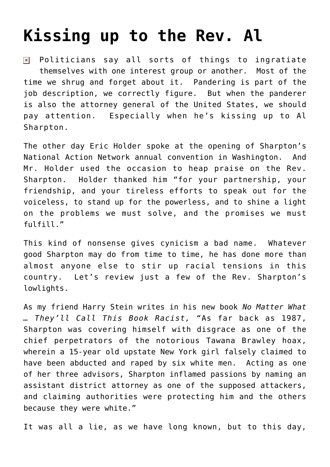## **[Kissing up to the Rev. Al](https://bernardgoldberg.com/kissing-up-to-the-rev-al/)**

Politicians say all sorts of things to ingratiate  $\pmb{\times}$ themselves with one interest group or another. Most of the time we shrug and forget about it. Pandering is part of the job description, we correctly figure. But when the panderer is also the attorney general of the United States, we should pay attention. Especially when he's kissing up to Al Sharpton.

The other day Eric Holder spoke at the opening of Sharpton's National Action Network annual convention in Washington. And Mr. Holder used the occasion to heap praise on the Rev. Sharpton. Holder thanked him "for your partnership, your friendship, and your tireless efforts to speak out for the voiceless, to stand up for the powerless, and to shine a light on the problems we must solve, and the promises we must fulfill."

This kind of nonsense gives cynicism a bad name. Whatever good Sharpton may do from time to time, he has done more than almost anyone else to stir up racial tensions in this country. Let's review just a few of the Rev. Sharpton's lowlights.

As my friend Harry Stein writes in his new book *No Matter What … They'll Call This Book Racist,* "As far back as 1987, Sharpton was covering himself with disgrace as one of the chief perpetrators of the notorious Tawana Brawley hoax, wherein a 15-year old upstate New York girl falsely claimed to have been abducted and raped by six white men. Acting as one of her three advisors, Sharpton inflamed passions by naming an assistant district attorney as one of the supposed attackers, and claiming authorities were protecting him and the others because they were white."

It was all a lie, as we have long known, but to this day,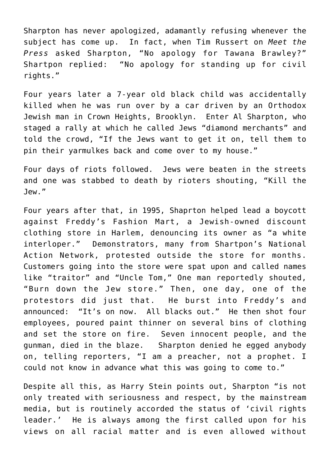Sharpton has never apologized, adamantly refusing whenever the subject has come up. In fact, when Tim Russert on *Meet the Press* asked Sharpton, "No apology for Tawana Brawley?" Shartpon replied: "No apology for standing up for civil rights."

Four years later a 7-year old black child was accidentally killed when he was run over by a car driven by an Orthodox Jewish man in Crown Heights, Brooklyn. Enter Al Sharpton, who staged a rally at which he called Jews "diamond merchants" and told the crowd, "If the Jews want to get it on, tell them to pin their yarmulkes back and come over to my house."

Four days of riots followed. Jews were beaten in the streets and one was stabbed to death by rioters shouting, "Kill the Jew."

Four years after that, in 1995, Shaprton helped lead a boycott against Freddy's Fashion Mart, a Jewish-owned discount clothing store in Harlem, denouncing its owner as "a white interloper." Demonstrators, many from Shartpon's National Action Network, protested outside the store for months. Customers going into the store were spat upon and called names like "traitor" and "Uncle Tom," One man reportedly shouted, "Burn down the Jew store." Then, one day, one of the protestors did just that. He burst into Freddy's and announced: "It's on now. All blacks out." He then shot four employees, poured paint thinner on several bins of clothing and set the store on fire. Seven innocent people, and the gunman, died in the blaze. Sharpton denied he egged anybody on, telling reporters, "I am a preacher, not a prophet. I could not know in advance what this was going to come to."

Despite all this, as Harry Stein points out, Sharpton "is not only treated with seriousness and respect, by the mainstream media, but is routinely accorded the status of 'civil rights leader.' He is always among the first called upon for his views on all racial matter and is even allowed without